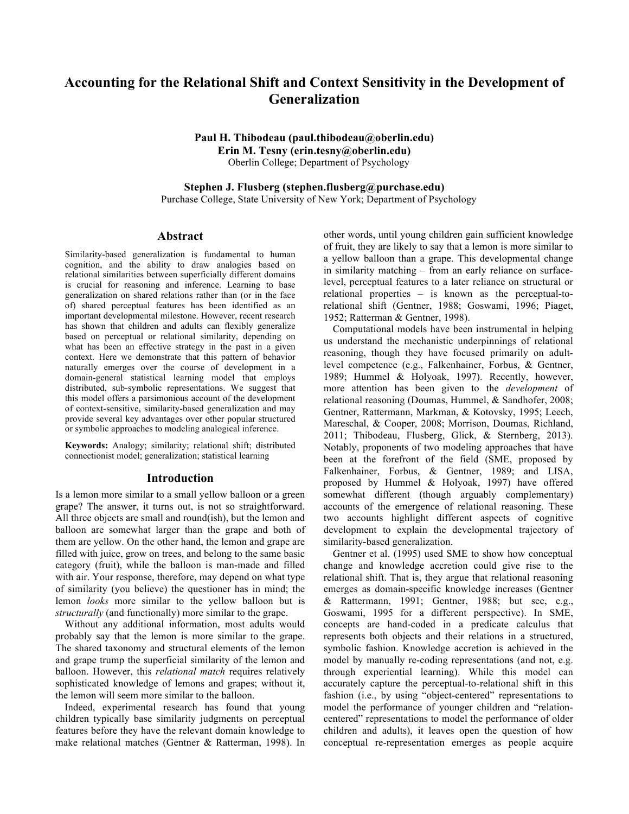# **Accounting for the Relational Shift and Context Sensitivity in the Development of Generalization**

**Paul H. Thibodeau (paul.thibodeau@oberlin.edu) Erin M. Tesny (erin.tesny@oberlin.edu)** Oberlin College; Department of Psychology

**Stephen J. Flusberg (stephen.flusberg@purchase.edu)**

Purchase College, State University of New York; Department of Psychology

# **Abstract**

Similarity-based generalization is fundamental to human cognition, and the ability to draw analogies based on relational similarities between superficially different domains is crucial for reasoning and inference. Learning to base generalization on shared relations rather than (or in the face of) shared perceptual features has been identified as an important developmental milestone. However, recent research has shown that children and adults can flexibly generalize based on perceptual or relational similarity, depending on what has been an effective strategy in the past in a given context. Here we demonstrate that this pattern of behavior naturally emerges over the course of development in a domain-general statistical learning model that employs distributed, sub-symbolic representations. We suggest that this model offers a parsimonious account of the development of context-sensitive, similarity-based generalization and may provide several key advantages over other popular structured or symbolic approaches to modeling analogical inference.

**Keywords:** Analogy; similarity; relational shift; distributed connectionist model; generalization; statistical learning

## **Introduction**

Is a lemon more similar to a small yellow balloon or a green grape? The answer, it turns out, is not so straightforward. All three objects are small and round(ish), but the lemon and balloon are somewhat larger than the grape and both of them are yellow. On the other hand, the lemon and grape are filled with juice, grow on trees, and belong to the same basic category (fruit), while the balloon is man-made and filled with air. Your response, therefore, may depend on what type of similarity (you believe) the questioner has in mind; the lemon *looks* more similar to the yellow balloon but is *structurally* (and functionally) more similar to the grape.

Without any additional information, most adults would probably say that the lemon is more similar to the grape. The shared taxonomy and structural elements of the lemon and grape trump the superficial similarity of the lemon and balloon. However, this *relational match* requires relatively sophisticated knowledge of lemons and grapes; without it, the lemon will seem more similar to the balloon.

Indeed, experimental research has found that young children typically base similarity judgments on perceptual features before they have the relevant domain knowledge to make relational matches (Gentner & Ratterman, 1998). In

other words, until young children gain sufficient knowledge of fruit, they are likely to say that a lemon is more similar to a yellow balloon than a grape. This developmental change in similarity matching – from an early reliance on surfacelevel, perceptual features to a later reliance on structural or relational properties – is known as the perceptual-torelational shift (Gentner, 1988; Goswami, 1996; Piaget, 1952; Ratterman & Gentner, 1998).

Computational models have been instrumental in helping us understand the mechanistic underpinnings of relational reasoning, though they have focused primarily on adultlevel competence (e.g., Falkenhainer, Forbus, & Gentner, 1989; Hummel & Holyoak, 1997). Recently, however, more attention has been given to the *development* of relational reasoning (Doumas, Hummel, & Sandhofer, 2008; Gentner, Rattermann, Markman, & Kotovsky, 1995; Leech, Mareschal, & Cooper, 2008; Morrison, Doumas, Richland, 2011; Thibodeau, Flusberg, Glick, & Sternberg, 2013). Notably, proponents of two modeling approaches that have been at the forefront of the field (SME, proposed by Falkenhainer, Forbus, & Gentner, 1989; and LISA, proposed by Hummel & Holyoak, 1997) have offered somewhat different (though arguably complementary) accounts of the emergence of relational reasoning. These two accounts highlight different aspects of cognitive development to explain the developmental trajectory of similarity-based generalization.

Gentner et al. (1995) used SME to show how conceptual change and knowledge accretion could give rise to the relational shift. That is, they argue that relational reasoning emerges as domain-specific knowledge increases (Gentner & Rattermann, 1991; Gentner, 1988; but see, e.g., Goswami, 1995 for a different perspective). In SME, concepts are hand-coded in a predicate calculus that represents both objects and their relations in a structured, symbolic fashion. Knowledge accretion is achieved in the model by manually re-coding representations (and not, e.g. through experiential learning). While this model can accurately capture the perceptual-to-relational shift in this fashion (i.e., by using "object-centered" representations to model the performance of younger children and "relationcentered" representations to model the performance of older children and adults), it leaves open the question of how conceptual re-representation emerges as people acquire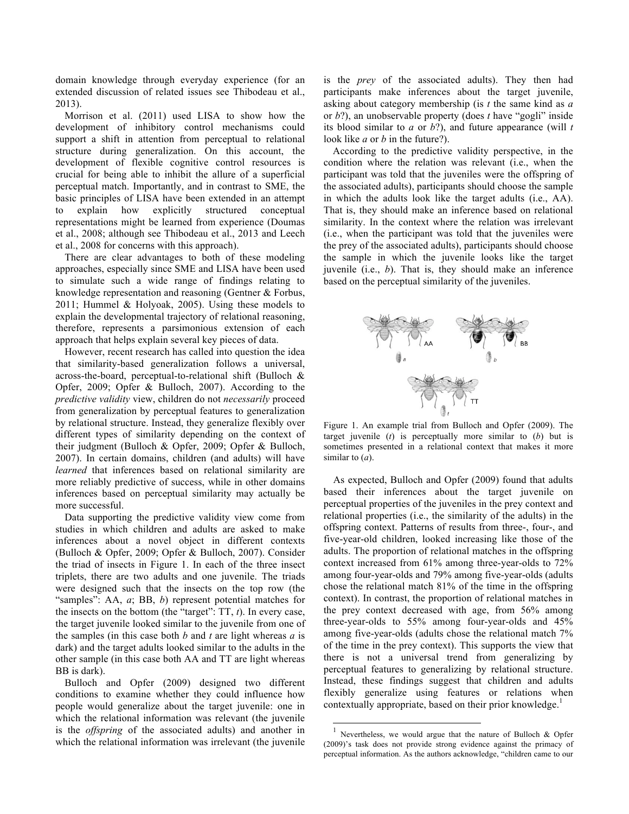domain knowledge through everyday experience (for an extended discussion of related issues see Thibodeau et al., 2013).

Morrison et al. (2011) used LISA to show how the development of inhibitory control mechanisms could support a shift in attention from perceptual to relational structure during generalization. On this account, the development of flexible cognitive control resources is crucial for being able to inhibit the allure of a superficial perceptual match. Importantly, and in contrast to SME, the basic principles of LISA have been extended in an attempt to explain how explicitly structured conceptual representations might be learned from experience (Doumas et al., 2008; although see Thibodeau et al., 2013 and Leech et al., 2008 for concerns with this approach).

There are clear advantages to both of these modeling approaches, especially since SME and LISA have been used to simulate such a wide range of findings relating to knowledge representation and reasoning (Gentner & Forbus, 2011; Hummel & Holyoak, 2005). Using these models to explain the developmental trajectory of relational reasoning, therefore, represents a parsimonious extension of each approach that helps explain several key pieces of data.

However, recent research has called into question the idea that similarity-based generalization follows a universal, across-the-board, perceptual-to-relational shift (Bulloch & Opfer, 2009; Opfer & Bulloch, 2007). According to the *predictive validity* view, children do not *necessarily* proceed from generalization by perceptual features to generalization by relational structure. Instead, they generalize flexibly over different types of similarity depending on the context of their judgment (Bulloch & Opfer, 2009; Opfer & Bulloch, 2007). In certain domains, children (and adults) will have *learned* that inferences based on relational similarity are more reliably predictive of success, while in other domains inferences based on perceptual similarity may actually be more successful.

Data supporting the predictive validity view come from studies in which children and adults are asked to make inferences about a novel object in different contexts (Bulloch & Opfer, 2009; Opfer & Bulloch, 2007). Consider the triad of insects in Figure 1. In each of the three insect triplets, there are two adults and one juvenile. The triads were designed such that the insects on the top row (the "samples": AA, *a*; BB, *b*) represent potential matches for the insects on the bottom (the "target": TT, *t*). In every case, the target juvenile looked similar to the juvenile from one of the samples (in this case both *b* and *t* are light whereas *a* is dark) and the target adults looked similar to the adults in the other sample (in this case both AA and TT are light whereas BB is dark).

Bulloch and Opfer (2009) designed two different conditions to examine whether they could influence how people would generalize about the target juvenile: one in which the relational information was relevant (the juvenile is the *offspring* of the associated adults) and another in which the relational information was irrelevant (the juvenile is the *prey* of the associated adults). They then had participants make inferences about the target juvenile, asking about category membership (is *t* the same kind as *a*  or *b*?), an unobservable property (does *t* have "gogli" inside its blood similar to *a* or *b*?), and future appearance (will *t* look like *a* or *b* in the future?).

According to the predictive validity perspective, in the condition where the relation was relevant (i.e., when the participant was told that the juveniles were the offspring of the associated adults), participants should choose the sample in which the adults look like the target adults (i.e., AA). That is, they should make an inference based on relational similarity. In the context where the relation was irrelevant (i.e., when the participant was told that the juveniles were the prey of the associated adults), participants should choose the sample in which the juvenile looks like the target juvenile (i.e., *b*). That is, they should make an inference based on the perceptual similarity of the juveniles.



Figure 1. An example trial from Bulloch and Opfer (2009). The target juvenile (*t*) is perceptually more similar to (*b*) but is sometimes presented in a relational context that makes it more similar to (*a*).

As expected, Bulloch and Opfer (2009) found that adults based their inferences about the target juvenile on perceptual properties of the juveniles in the prey context and relational properties (i.e., the similarity of the adults) in the offspring context. Patterns of results from three-, four-, and five-year-old children, looked increasing like those of the adults. The proportion of relational matches in the offspring context increased from 61% among three-year-olds to 72% among four-year-olds and 79% among five-year-olds (adults chose the relational match 81% of the time in the offspring context). In contrast, the proportion of relational matches in the prey context decreased with age, from 56% among three-year-olds to 55% among four-year-olds and 45% among five-year-olds (adults chose the relational match 7% of the time in the prey context). This supports the view that there is not a universal trend from generalizing by perceptual features to generalizing by relational structure. Instead, these findings suggest that children and adults flexibly generalize using features or relations when contextually appropriate, based on their prior knowledge.<sup>1</sup>

Nevertheless, we would argue that the nature of Bulloch & Opfer (2009)'s task does not provide strong evidence against the primacy of perceptual information. As the authors acknowledge, "children came to our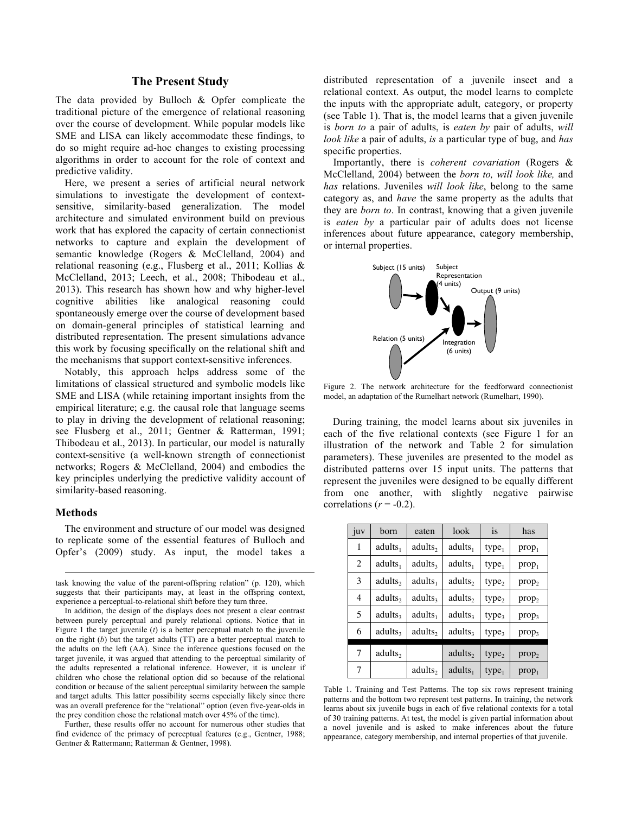# **The Present Study**

The data provided by Bulloch & Opfer complicate the traditional picture of the emergence of relational reasoning over the course of development. While popular models like SME and LISA can likely accommodate these findings, to do so might require ad-hoc changes to existing processing algorithms in order to account for the role of context and predictive validity.

Here, we present a series of artificial neural network simulations to investigate the development of contextsensitive, similarity-based generalization. The model architecture and simulated environment build on previous work that has explored the capacity of certain connectionist networks to capture and explain the development of semantic knowledge (Rogers & McClelland, 2004) and relational reasoning (e.g., Flusberg et al., 2011; Kollias & McClelland, 2013; Leech, et al., 2008; Thibodeau et al., 2013). This research has shown how and why higher-level cognitive abilities like analogical reasoning could spontaneously emerge over the course of development based on domain-general principles of statistical learning and distributed representation. The present simulations advance this work by focusing specifically on the relational shift and the mechanisms that support context-sensitive inferences.

Notably, this approach helps address some of the limitations of classical structured and symbolic models like SME and LISA (while retaining important insights from the empirical literature; e.g. the causal role that language seems to play in driving the development of relational reasoning; see Flusberg et al., 2011; Gentner & Ratterman, 1991; Thibodeau et al., 2013). In particular, our model is naturally context-sensitive (a well-known strength of connectionist networks; Rogers & McClelland, 2004) and embodies the key principles underlying the predictive validity account of similarity-based reasoning.

### **Methods**

 $\overline{a}$ 

The environment and structure of our model was designed to replicate some of the essential features of Bulloch and Opfer's (2009) study. As input, the model takes a

task knowing the value of the parent-offspring relation" (p. 120), which suggests that their participants may, at least in the offspring context, experience a perceptual-to-relational shift before they turn three.

In addition, the design of the displays does not present a clear contrast between purely perceptual and purely relational options. Notice that in Figure 1 the target juvenile (*t*) is a better perceptual match to the juvenile on the right (*b*) but the target adults (TT) are a better perceptual match to the adults on the left (AA). Since the inference questions focused on the target juvenile, it was argued that attending to the perceptual similarity of the adults represented a relational inference. However, it is unclear if children who chose the relational option did so because of the relational condition or because of the salient perceptual similarity between the sample and target adults. This latter possibility seems especially likely since there was an overall preference for the "relational" option (even five-year-olds in the prey condition chose the relational match over 45% of the time).

Further, these results offer no account for numerous other studies that find evidence of the primacy of perceptual features (e.g., Gentner, 1988; Gentner & Rattermann; Ratterman & Gentner, 1998).  $\mathbf{g}$ ).

distributed representation of a juvenile insect and a relational context. As output, the model learns to complete the inputs with the appropriate adult, category, or property (see Table 1). That is, the model learns that a given juvenile is *born to* a pair of adults, is *eaten by* pair of adults, *will look like* a pair of adults, *is* a particular type of bug, and *has* specific properties.

Importantly, there is *coherent covariation* (Rogers & McClelland, 2004) between the *born to, will look like,* and *has* relations. Juveniles *will look like*, belong to the same category as, and *have* the same property as the adults that they are *born to*. In contrast, knowing that a given juvenile is *eaten by* a particular pair of adults does not license inferences about future appearance, category membership, or internal properties.



Figure 2. The network architecture for the feedforward connectionist model, an adaptation of the Rumelhart network (Rumelhart, 1990).

During training, the model learns about six juveniles in each of the five relational contexts (see Figure 1 for an illustration of the network and Table 2 for simulation for the of connectionist parameters). These juveniles are presented to the model as and embodies the distributed patterns over 15 input units. The patterns that represent the juveniles were designed to be equally different from one another, with slightly negative pairwise correlations  $(r = -0.2)$ .

| juv            | born                | eaten               | look                | is                | has               |
|----------------|---------------------|---------------------|---------------------|-------------------|-------------------|
| 1              | adults <sub>1</sub> | adults <sub>2</sub> | adults <sub>1</sub> | type <sub>1</sub> | prop <sub>1</sub> |
| $\overline{c}$ | adults <sub>1</sub> | adults <sub>3</sub> | adults <sub>1</sub> | type <sub>1</sub> | prop <sub>1</sub> |
| 3              | adults <sub>2</sub> | adults <sub>1</sub> | adults <sub>2</sub> | type <sub>2</sub> | prop <sub>2</sub> |
| 4              | adults <sub>2</sub> | adults <sub>3</sub> | adults <sub>2</sub> | type,             | prop <sub>2</sub> |
| 5              | adults <sub>3</sub> | adults <sub>1</sub> | adults <sub>3</sub> | type <sub>3</sub> | prop <sub>3</sub> |
| 6              | adults <sub>3</sub> | adults <sub>2</sub> | adults <sub>3</sub> | type <sub>3</sub> | prop <sub>3</sub> |
| 7              | adults,             |                     | adults <sub>2</sub> | type <sub>2</sub> | prop <sub>2</sub> |
| 7              |                     | adults <sub>2</sub> | adults <sub>1</sub> | type <sub>1</sub> | prop <sub>1</sub> |

arity between the sample Table 1. Training and Test Patterns. The top six rows represent training ectally likely since there patterns and the bottom two represent test patterns. In training, the network in each of five vear-olds in 15% of the time). The model is given partial information about the state of  $\frac{1}{2}$  of 30 training patterns. At test, the model is given partial information about erous other studies that a novel juvenile and is asked to make inferences about the future <br>
is (e.g., Gentner, 1988; appearance category membership and internal properties of that invenile learns about six juvenile bugs in each of five relational contexts for a total appearance, category membership, and internal properties of that juvenile.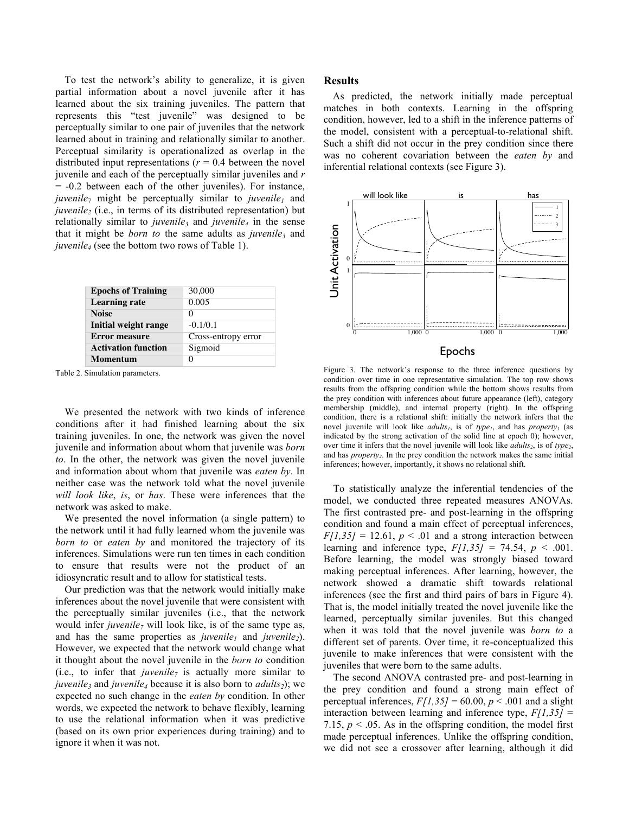To test the network's ability to generalize, it is given partial information about a novel juvenile after it has learned about the six training juveniles. The pattern that represents this "test juvenile" was designed to be perceptually similar to one pair of juveniles that the network learned about in training and relationally similar to another. Perceptual similarity is operationalized as overlap in the distributed input representations  $(r = 0.4$  between the novel juvenile and each of the perceptually similar juveniles and *r* = -0.2 between each of the other juveniles). For instance,  $juvenile<sub>7</sub>$  might be perceptually similar to  $juvenile<sub>1</sub>$  and *juvenile<sub>2</sub>* (i.e., in terms of its distributed representation) but relationally similar to *juvenile*<sub>3</sub> and *juvenile<sub>4</sub>* in the sense that it might be *born to* the same adults as *juvenile*, and *juvenile4* (see the bottom two rows of Table 1).

| <b>Epochs of Training</b>   | 30,000              |  |
|-----------------------------|---------------------|--|
| <b>Learning rate</b>        | 0.005               |  |
| <b>Noise</b>                | 0                   |  |
| <b>Initial weight range</b> | $-0.1/0.1$          |  |
| <b>Error measure</b>        | Cross-entropy error |  |
| <b>Activation function</b>  | Sigmoid             |  |
| Momentum                    |                     |  |

Table 2. Simulation parameters.

We presented the network with two kinds of inference conditions after it had finished learning about the six training juveniles. In one, the network was given the novel juvenile and information about whom that juvenile was *born to*. In the other, the network was given the novel juvenile and information about whom that juvenile was *eaten by*. In neither case was the network told what the novel juvenile *will look like*, *is*, or *has*. These were inferences that the network was asked to make.

We presented the novel information (a single pattern) to the network until it had fully learned whom the juvenile was *born to* or *eaten by* and monitored the trajectory of its inferences. Simulations were run ten times in each condition to ensure that results were not the product of an idiosyncratic result and to allow for statistical tests.

Our prediction was that the network would initially make inferences about the novel juvenile that were consistent with the perceptually similar juveniles (i.e., that the network would infer *juvenile<sub>7</sub>* will look like, is of the same type as, and has the same properties as *juvenile<sub>1</sub>* and *juvenile<sub>2</sub>*). However, we expected that the network would change what it thought about the novel juvenile in the *born to* condition (i.e., to infer that *juvenile<sub>7</sub>* is actually more similar to *juvenile<sub>3</sub>* and *juvenile<sub>4</sub>* because it is also born to *adults<sub>2</sub>*); we expected no such change in the *eaten by* condition. In other words, we expected the network to behave flexibly, learning to use the relational information when it was predictive (based on its own prior experiences during training) and to ignore it when it was not.

#### **Results**

As predicted, the network initially made perceptual matches in both contexts. Learning in the offspring condition, however, led to a shift in the inference patterns of the model, consistent with a perceptual-to-relational shift. Such a shift did not occur in the prey condition since there was no coherent covariation between the *eaten by* and inferential relational contexts (see Figure 3).



Figure 3. The network's response to the three inference questions by condition over time in one representative simulation. The top row shows results from the offspring condition while the bottom shows results from the prey condition with inferences about future appearance (left), category membership (middle), and internal property (right). In the offspring condition, there is a relational shift: initially the network infers that the novel juvenile will look like *adults<sub>1</sub>*, is of *type<sub>1</sub>*, and has *property<sub>1</sub>* (as indicated by the strong activation of the solid line at epoch 0); however, over time it infers that the novel juvenile will look like  $adults<sub>2</sub>$ , is of *type*<sub>2</sub>, and has *property<sub>2</sub>*. In the prey condition the network makes the same initial inferences; however, importantly, it shows no relational shift.

To statistically analyze the inferential tendencies of the model, we conducted three repeated measures ANOVAs. The first contrasted pre- and post-learning in the offspring condition and found a main effect of perceptual inferences,  $F[1,35] = 12.61$ ,  $p < .01$  and a strong interaction between learning and inference type,  $F[1,35] = 74.54$ ,  $p < .001$ . Before learning, the model was strongly biased toward making perceptual inferences. After learning, however, the network showed a dramatic shift towards relational inferences (see the first and third pairs of bars in Figure 4). That is, the model initially treated the novel juvenile like the learned, perceptually similar juveniles. But this changed when it was told that the novel juvenile was *born to* a different set of parents. Over time, it re-conceptualized this juvenile to make inferences that were consistent with the juveniles that were born to the same adults.

The second ANOVA contrasted pre- and post-learning in the prey condition and found a strong main effect of perceptual inferences,  $F/I$ ,  $35$ <sup> $= 60.00$ ,  $p < .001$  and a slight</sup> interaction between learning and inference type, *F[1,35]* = 7.15,  $p < 0.05$ . As in the offspring condition, the model first made perceptual inferences. Unlike the offspring condition, we did not see a crossover after learning, although it did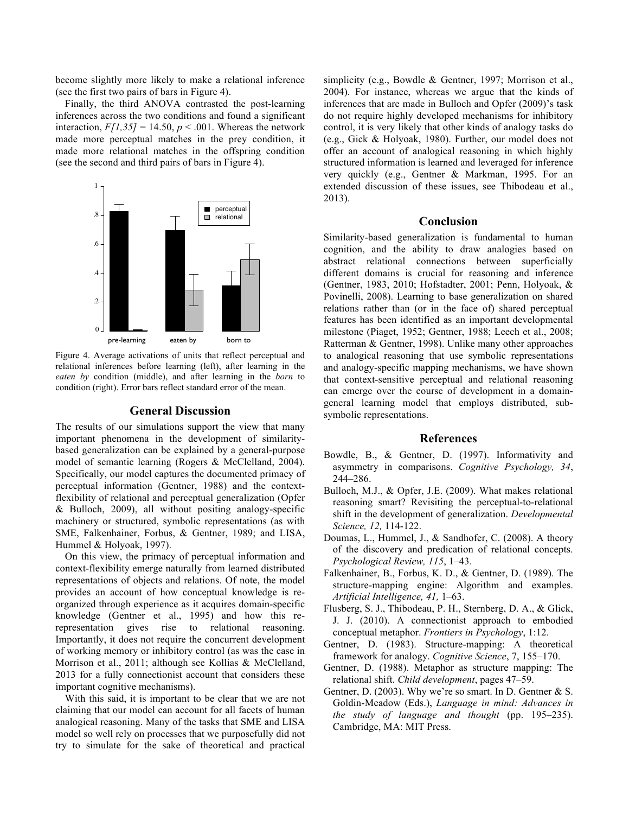become slightly more likely to make a relational inference (see the first two pairs of bars in Figure 4).

Finally, the third ANOVA contrasted the post-learning inferences across the two conditions and found a significant interaction,  $F/I$ ,  $35$ <sup> $=$ </sup> 14.50,  $p < .001$ . Whereas the network made more perceptual matches in the prey condition, it made more relational matches in the offspring condition (see the second and third pairs of bars in Figure 4).



Figure 4. Average activations of units that reflect perceptual and relational inferences before learning (left), after learning in the *eaten by* condition (middle), and after learning in the *born* to condition (right). Error bars reflect standard error of the mean.

#### presenten by born to born to born to born to born to born to born to born to born to born to born to born to b **General Discussion**

The results of our simulations support the view that many important phenomena in the development of similaritybased generalization can be explained by a general-purpose model of semantic learning (Rogers & McClelland, 2004). Specifically, our model captures the documented primacy of perceptual information (Gentner, 1988) and the contextflexibility of relational and perceptual generalization (Opfer & Bulloch, 2009), all without positing analogy-specific machinery or structured, symbolic representations (as with SME, Falkenhainer, Forbus, & Gentner, 1989; and LISA, Hummel & Holyoak, 1997).

On this view, the primacy of perceptual information and context-flexibility emerge naturally from learned distributed representations of objects and relations. Of note, the model provides an account of how conceptual knowledge is reorganized through experience as it acquires domain-specific knowledge (Gentner et al., 1995) and how this rerepresentation gives rise to relational reasoning. Importantly, it does not require the concurrent development of working memory or inhibitory control (as was the case in Morrison et al., 2011; although see Kollias & McClelland, 2013 for a fully connectionist account that considers these important cognitive mechanisms).

With this said, it is important to be clear that we are not claiming that our model can account for all facets of human analogical reasoning. Many of the tasks that SME and LISA model so well rely on processes that we purposefully did not try to simulate for the sake of theoretical and practical simplicity (e.g., Bowdle & Gentner, 1997; Morrison et al., 2004). For instance, whereas we argue that the kinds of inferences that are made in Bulloch and Opfer (2009)'s task do not require highly developed mechanisms for inhibitory control, it is very likely that other kinds of analogy tasks do (e.g., Gick & Holyoak, 1980). Further, our model does not offer an account of analogical reasoning in which highly structured information is learned and leveraged for inference very quickly (e.g., Gentner & Markman, 1995. For an extended discussion of these issues, see Thibodeau et al., 2013).

# **Conclusion**

Similarity-based generalization is fundamental to human cognition, and the ability to draw analogies based on abstract relational connections between superficially different domains is crucial for reasoning and inference (Gentner, 1983, 2010; Hofstadter, 2001; Penn, Holyoak, & Povinelli, 2008). Learning to base generalization on shared relations rather than (or in the face of) shared perceptual features has been identified as an important developmental milestone (Piaget, 1952; Gentner, 1988; Leech et al., 2008; Ratterman & Gentner, 1998). Unlike many other approaches to analogical reasoning that use symbolic representations and analogy-specific mapping mechanisms, we have shown that context-sensitive perceptual and relational reasoning can emerge over the course of development in a domaingeneral learning model that employs distributed, subsymbolic representations.

### **References**

- Bowdle, B., & Gentner, D. (1997). Informativity and asymmetry in comparisons. *Cognitive Psychology, 34*, 244–286.
- Bulloch, M.J., & Opfer, J.E. (2009). What makes relational reasoning smart? Revisiting the perceptual-to-relational shift in the development of generalization. *Developmental Science, 12,* 114-122.
- Doumas, L., Hummel, J., & Sandhofer, C. (2008). A theory of the discovery and predication of relational concepts. *Psychological Review, 115*, 1–43.
- Falkenhainer, B., Forbus, K. D., & Gentner, D. (1989). The structure-mapping engine: Algorithm and examples. *Artificial Intelligence, 41,* 1–63.
- Flusberg, S. J., Thibodeau, P. H., Sternberg, D. A., & Glick, J. J. (2010). A connectionist approach to embodied conceptual metaphor. *Frontiers in Psychology*, 1:12.
- Gentner, D. (1983). Structure-mapping: A theoretical framework for analogy. *Cognitive Science*, 7, 155–170.
- Gentner, D. (1988). Metaphor as structure mapping: The relational shift. *Child development*, pages 47–59.
- Gentner, D. (2003). Why we're so smart. In D. Gentner  $& S$ . Goldin-Meadow (Eds.), *Language in mind: Advances in the study of language and thought* (pp. 195–235). Cambridge, MA: MIT Press.